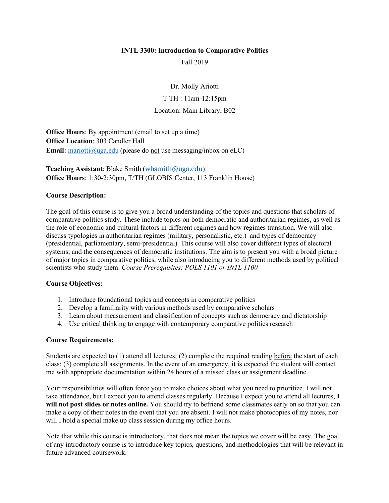#### **INTL 3300: Introduction to Comparative Politics**

Fall 2019

Dr. Molly Ariotti

T TH : 11am-12:15pm

## Location: Main Library, B02

**Office Hours**: By appointment (email to set up a time) **Office Location**: 303 Candler Hall **Email:** mariotti@uga.edu (please do not use messaging/inbox on eLC)

**Teaching Assistant**: Blake Smith (wbsmith@uga.edu) **Office Hours**: 1:30-2:30pm, T/TH (GLOBIS Center, 113 Franklin House)

### **Course Description:**

The goal of this course is to give you a broad understanding of the topics and questions that scholars of comparative politics study. These include topics on both democratic and authoritarian regimes, as well as the role of economic and cultural factors in different regimes and how regimes transition. We will also discuss typologies in authoritarian regimes (military, personalistic, etc.) and types of democracy (presidential, parliamentary, semi-presidential). This course will also cover different types of electoral systems, and the consequences of democratic institutions. The aim is to present you with a broad picture of major topics in comparative politics, while also introducing you to different methods used by political scientists who study them. *Course Prerequisites: POLS 1101 or INTL 1100*

### **Course Objectives:**

- 1. Introduce foundational topics and concepts in comparative politics
- 2. Develop a familiarity with various methods used by comparative scholars
- 3. Learn about measurement and classification of concepts such as democracy and dictatorship
- 4. Use critical thinking to engage with contemporary comparative politics research

#### **Course Requirements:**

Students are expected to (1) attend all lectures; (2) complete the required reading before the start of each class; (3) complete all assignments. In the event of an emergency, it is expected the student will contact me with appropriate documentation within 24 hours of a missed class or assignment deadline.

Your responsibilities will often force you to make choices about what you need to prioritize. I will not take attendance, but I expect you to attend classes regularly. Because I expect you to attend all lectures, **I will not post slides or notes online.** You should try to befriend some classmates early on so that you can make a copy of their notes in the event that you are absent. I will not make photocopies of my notes, nor will I hold a special make up class session during my office hours.

Note that while this course is introductory, that does not mean the topics we cover will be easy. The goal of any introductory course is to introduce key topics, questions, and methodologies that will be relevant in future advanced coursework.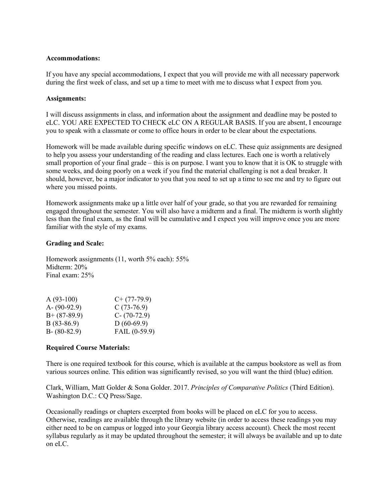## **Accommodations:**

If you have any special accommodations, I expect that you will provide me with all necessary paperwork during the first week of class, and set up a time to meet with me to discuss what I expect from you.

## **Assignments:**

I will discuss assignments in class, and information about the assignment and deadline may be posted to eLC. YOU ARE EXPECTED TO CHECK eLC ON A REGULAR BASIS. If you are absent, I encourage you to speak with a classmate or come to office hours in order to be clear about the expectations.

Homework will be made available during specific windows on eLC. These quiz assignments are designed to help you assess your understanding of the reading and class lectures. Each one is worth a relatively small proportion of your final grade – this is on purpose. I want you to know that it is OK to struggle with some weeks, and doing poorly on a week if you find the material challenging is not a deal breaker. It should, however, be a major indicator to you that you need to set up a time to see me and try to figure out where you missed points.

Homework assignments make up a little over half of your grade, so that you are rewarded for remaining engaged throughout the semester. You will also have a midterm and a final. The midterm is worth slightly less than the final exam, as the final will be cumulative and I expect you will improve once you are more familiar with the style of my exams.

## **Grading and Scale:**

Homework assignments (11, worth 5% each): 55% Midterm: 20% Final exam: 25%

| $C+$ (77-79.9)  |
|-----------------|
| $C(73-76.9)$    |
| $C - (70-72.9)$ |
| $D(60-69.9)$    |
| FAIL $(0-59.9)$ |
|                 |

# **Required Course Materials:**

There is one required textbook for this course, which is available at the campus bookstore as well as from various sources online. This edition was significantly revised, so you will want the third (blue) edition.

Clark, William, Matt Golder & Sona Golder. 2017. *Principles of Comparative Politics* (Third Edition). Washington D.C.: CQ Press/Sage.

Occasionally readings or chapters excerpted from books will be placed on eLC for you to access. Otherwise, readings are available through the library website (in order to access these readings you may either need to be on campus or logged into your Georgia library access account). Check the most recent syllabus regularly as it may be updated throughout the semester; it will always be available and up to date on eLC.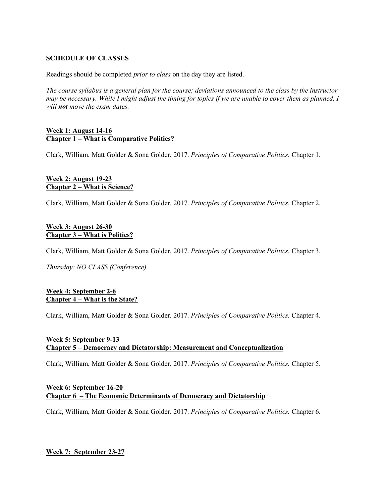## **SCHEDULE OF CLASSES**

Readings should be completed *prior to class* on the day they are listed.

*The course syllabus is a general plan for the course; deviations announced to the class by the instructor may be necessary. While I might adjust the timing for topics if we are unable to cover them as planned, I will not move the exam dates.*

### **Week 1: August 14-16 Chapter 1 – What is Comparative Politics?**

Clark, William, Matt Golder & Sona Golder. 2017. *Principles of Comparative Politics.* Chapter 1.

## **Week 2: August 19-23 Chapter 2 – What is Science?**

Clark, William, Matt Golder & Sona Golder. 2017. *Principles of Comparative Politics.* Chapter 2.

### **Week 3: August 26-30 Chapter 3 – What is Politics?**

Clark, William, Matt Golder & Sona Golder. 2017. *Principles of Comparative Politics.* Chapter 3.

*Thursday: NO CLASS (Conference)*

### **Week 4: September 2-6 Chapter 4 – What is the State?**

Clark, William, Matt Golder & Sona Golder. 2017. *Principles of Comparative Politics.* Chapter 4.

### **Week 5: September 9-13 Chapter 5 – Democracy and Dictatorship: Measurement and Conceptualization**

Clark, William, Matt Golder & Sona Golder. 2017. *Principles of Comparative Politics.* Chapter 5.

### **Week 6: September 16-20 Chapter 6 – The Economic Determinants of Democracy and Dictatorship**

Clark, William, Matt Golder & Sona Golder. 2017. *Principles of Comparative Politics.* Chapter 6.

**Week 7: September 23-27**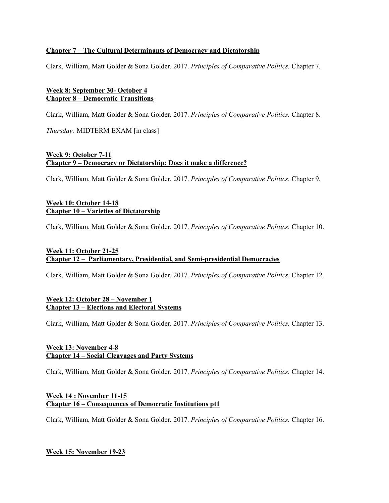# **Chapter 7 – The Cultural Determinants of Democracy and Dictatorship**

Clark, William, Matt Golder & Sona Golder. 2017. *Principles of Comparative Politics.* Chapter 7.

## **Week 8: September 30- October 4 Chapter 8 – Democratic Transitions**

Clark, William, Matt Golder & Sona Golder. 2017. *Principles of Comparative Politics.* Chapter 8.

*Thursday:* MIDTERM EXAM [in class]

## **Week 9: October 7-11 Chapter 9 – Democracy or Dictatorship: Does it make a difference?**

Clark, William, Matt Golder & Sona Golder. 2017. *Principles of Comparative Politics.* Chapter 9.

## **Week 10: October 14-18 Chapter 10 – Varieties of Dictatorship**

Clark, William, Matt Golder & Sona Golder. 2017. *Principles of Comparative Politics.* Chapter 10.

## **Week 11: October 21-25 Chapter 12 – Parliamentary, Presidential, and Semi-presidential Democracies**

Clark, William, Matt Golder & Sona Golder. 2017. *Principles of Comparative Politics.* Chapter 12.

## **Week 12: October 28 – November 1 Chapter 13 – Elections and Electoral Systems**

Clark, William, Matt Golder & Sona Golder. 2017. *Principles of Comparative Politics.* Chapter 13.

### **Week 13: November 4-8 Chapter 14 – Social Cleavages and Party Systems**

Clark, William, Matt Golder & Sona Golder. 2017. *Principles of Comparative Politics.* Chapter 14.

### **Week 14 : November 11-15 Chapter 16 – Consequences of Democratic Institutions pt1**

Clark, William, Matt Golder & Sona Golder. 2017. *Principles of Comparative Politics.* Chapter 16.

# **Week 15: November 19-23**